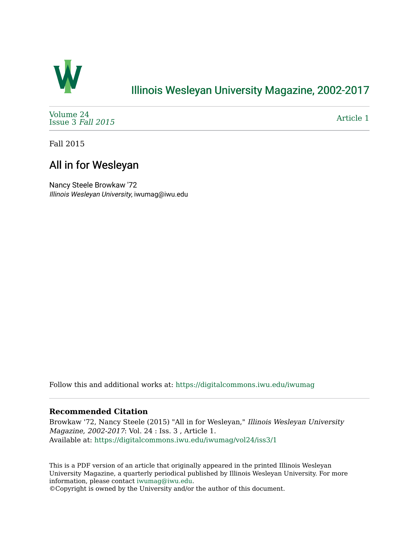

## [Illinois Wesleyan University Magazine, 2002-2017](https://digitalcommons.iwu.edu/iwumag)

[Volume 24](https://digitalcommons.iwu.edu/iwumag/vol24)  [Issue 3](https://digitalcommons.iwu.edu/iwumag/vol24/iss3) Fall 2015

[Article 1](https://digitalcommons.iwu.edu/iwumag/vol24/iss3/1) 

Fall 2015

# All in for Wesleyan

Nancy Steele Browkaw '72 Illinois Wesleyan University, iwumag@iwu.edu

Follow this and additional works at: [https://digitalcommons.iwu.edu/iwumag](https://digitalcommons.iwu.edu/iwumag?utm_source=digitalcommons.iwu.edu%2Fiwumag%2Fvol24%2Fiss3%2F1&utm_medium=PDF&utm_campaign=PDFCoverPages) 

### **Recommended Citation**

Browkaw '72, Nancy Steele (2015) "All in for Wesleyan," Illinois Wesleyan University Magazine, 2002-2017: Vol. 24 : Iss. 3 , Article 1. Available at: [https://digitalcommons.iwu.edu/iwumag/vol24/iss3/1](https://digitalcommons.iwu.edu/iwumag/vol24/iss3/1?utm_source=digitalcommons.iwu.edu%2Fiwumag%2Fvol24%2Fiss3%2F1&utm_medium=PDF&utm_campaign=PDFCoverPages)

This is a PDF version of an article that originally appeared in the printed Illinois Wesleyan University Magazine, a quarterly periodical published by Illinois Wesleyan University. For more information, please contact [iwumag@iwu.edu](mailto:iwumag@iwu.edu).

©Copyright is owned by the University and/or the author of this document.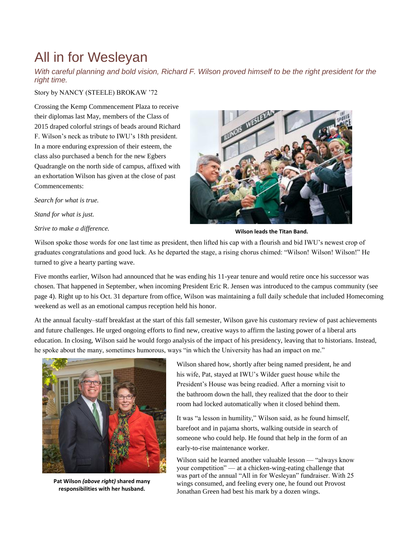# All in for Wesleyan

*With careful planning and bold vision, Richard F. Wilson proved himself to be the right president for the right time.*

Story by NANCY (STEELE) BROKAW '72

Crossing the Kemp Commencement Plaza to receive their diplomas last May, members of the Class of 2015 draped colorful strings of beads around Richard F. Wilson's neck as tribute to IWU's 18th president. In a more enduring expression of their esteem, the class also purchased a bench for the new Egbers Quadrangle on the north side of campus, affixed with an exhortation Wilson has given at the close of past Commencements:

*Search for what is true.*

*Stand for what is just.*

*Strive to make a difference.*



**Wilson leads the Titan Band.**

Wilson spoke those words for one last time as president, then lifted his cap with a flourish and bid IWU's newest crop of graduates congratulations and good luck. As he departed the stage, a rising chorus chimed: "Wilson! Wilson! Wilson!" He turned to give a hearty parting wave.

Five months earlier, Wilson had announced that he was ending his 11-year tenure and would retire once his successor was chosen. That happened in September, when incoming President Eric R. Jensen was introduced to the campus community (see page 4). Right up to his Oct. 31 departure from office, Wilson was maintaining a full daily schedule that included Homecoming weekend as well as an emotional campus reception held his honor.

At the annual faculty–staff breakfast at the start of this fall semester, Wilson gave his customary review of past achievements and future challenges. He urged ongoing efforts to find new, creative ways to affirm the lasting power of a liberal arts education. In closing, Wilson said he would forgo analysis of the impact of his presidency, leaving that to historians. Instead, he spoke about the many, sometimes humorous, ways "in which the University has had an impact on me."



**Pat Wilson** *(above right)* **shared many responsibilities with her husband.**

Wilson shared how, shortly after being named president, he and his wife, Pat, stayed at IWU's Wilder guest house while the President's House was being readied. After a morning visit to the bathroom down the hall, they realized that the door to their room had locked automatically when it closed behind them.

It was "a lesson in humility," Wilson said, as he found himself, barefoot and in pajama shorts, walking outside in search of someone who could help. He found that help in the form of an early-to-rise maintenance worker.

Wilson said he learned another valuable lesson — "always know your competition" — at a chicken-wing-eating challenge that was part of the annual "All in for Wesleyan" fundraiser. With 25 wings consumed, and feeling every one, he found out Provost Jonathan Green had best his mark by a dozen wings.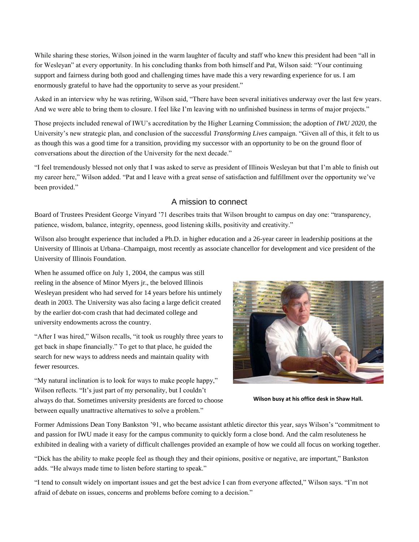While sharing these stories, Wilson joined in the warm laughter of faculty and staff who knew this president had been "all in for Wesleyan" at every opportunity. In his concluding thanks from both himself and Pat, Wilson said: "Your continuing support and fairness during both good and challenging times have made this a very rewarding experience for us. I am enormously grateful to have had the opportunity to serve as your president."

Asked in an interview why he was retiring, Wilson said, "There have been several initiatives underway over the last few years. And we were able to bring them to closure. I feel like I'm leaving with no unfinished business in terms of major projects."

Those projects included renewal of IWU's accreditation by the Higher Learning Commission; the adoption of *IWU 2020,* the University's new strategic plan, and conclusion of the successful *Transforming Lives* campaign. "Given all of this, it felt to us as though this was a good time for a transition, providing my successor with an opportunity to be on the ground floor of conversations about the direction of the University for the next decade."

"I feel tremendously blessed not only that I was asked to serve as president of Illinois Wesleyan but that I'm able to finish out my career here," Wilson added. "Pat and I leave with a great sense of satisfaction and fulfillment over the opportunity we've been provided."

#### A mission to connect

Board of Trustees President George Vinyard '71 describes traits that Wilson brought to campus on day one: "transparency, patience, wisdom, balance, integrity, openness, good listening skills, positivity and creativity."

Wilson also brought experience that included a Ph.D. in higher education and a 26-year career in leadership positions at the University of Illinois at Urbana–Champaign, most recently as associate chancellor for development and vice president of the University of Illinois Foundation.

When he assumed office on July 1, 2004, the campus was still reeling in the absence of Minor Myers jr., the beloved Illinois Wesleyan president who had served for 14 years before his untimely death in 2003. The University was also facing a large deficit created by the earlier dot-com crash that had decimated college and university endowments across the country.

"After I was hired," Wilson recalls, "it took us roughly three years to get back in shape financially." To get to that place, he guided the search for new ways to address needs and maintain quality with fewer resources.

"My natural inclination is to look for ways to make people happy," Wilson reflects. "It's just part of my personality, but I couldn't always do that. Sometimes university presidents are forced to choose between equally unattractive alternatives to solve a problem."



**Wilson busy at his office desk in Shaw Hall.**

Former Admissions Dean Tony Bankston '91, who became assistant athletic director this year, says Wilson's "commitment to and passion for IWU made it easy for the campus community to quickly form a close bond. And the calm resoluteness he exhibited in dealing with a variety of difficult challenges provided an example of how we could all focus on working together.

"Dick has the ability to make people feel as though they and their opinions, positive or negative, are important," Bankston adds. "He always made time to listen before starting to speak."

"I tend to consult widely on important issues and get the best advice I can from everyone affected," Wilson says. "I'm not afraid of debate on issues, concerns and problems before coming to a decision."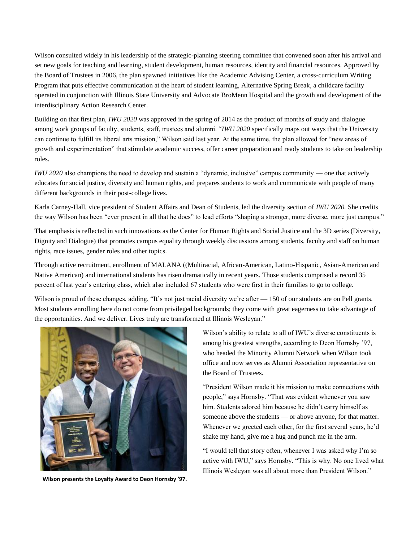Wilson consulted widely in his leadership of the strategic-planning steering committee that convened soon after his arrival and set new goals for teaching and learning, student development, human resources, identity and financial resources. Approved by the Board of Trustees in 2006, the plan spawned initiatives like the Academic Advising Center, a cross-curriculum Writing Program that puts effective communication at the heart of student learning, Alternative Spring Break, a childcare facility operated in conjunction with Illinois State University and Advocate BroMenn Hospital and the growth and development of the interdisciplinary Action Research Center.

Building on that first plan, *IWU 2020* was approved in the spring of 2014 as the product of months of study and dialogue among work groups of faculty, students, staff, trustees and alumni. "*IWU 2020* specifically maps out ways that the University can continue to fulfill its liberal arts mission," Wilson said last year. At the same time, the plan allowed for "new areas of growth and experimentation" that stimulate academic success, offer career preparation and ready students to take on leadership roles.

*IWU 2020* also champions the need to develop and sustain a "dynamic, inclusive" campus community — one that actively educates for social justice, diversity and human rights, and prepares students to work and communicate with people of many different backgrounds in their post-college lives.

Karla Carney-Hall, vice president of Student Affairs and Dean of Students, led the diversity section of *IWU 2020.* She credits the way Wilson has been "ever present in all that he does" to lead efforts "shaping a stronger, more diverse, more just campus."

That emphasis is reflected in such innovations as the Center for Human Rights and Social Justice and the 3D series (Diversity, Dignity and Dialogue) that promotes campus equality through weekly discussions among students, faculty and staff on human rights, race issues, gender roles and other topics.

Through active recruitment, enrollment of MALANA ((Multiracial, African-American, Latino-Hispanic, Asian-American and Native American) and international students has risen dramatically in recent years. Those students comprised a record 35 percent of last year's entering class, which also included 67 students who were first in their families to go to college.

Wilson is proud of these changes, adding, "It's not just racial diversity we're after — 150 of our students are on Pell grants. Most students enrolling here do not come from privileged backgrounds; they come with great eagerness to take advantage of the opportunities. And we deliver. Lives truly are transformed at Illinois Wesleyan."



**Wilson presents the Loyalty Award to Deon Hornsby '97.**

Wilson's ability to relate to all of IWU's diverse constituents is among his greatest strengths, according to Deon Hornsby '97, who headed the Minority Alumni Network when Wilson took office and now serves as Alumni Association representative on the Board of Trustees.

"President Wilson made it his mission to make connections with people," says Hornsby. "That was evident whenever you saw him. Students adored him because he didn't carry himself as someone above the students — or above anyone, for that matter. Whenever we greeted each other, for the first several years, he'd shake my hand, give me a hug and punch me in the arm.

"I would tell that story often, whenever I was asked why I'm so active with IWU," says Hornsby. "This is why. No one lived what Illinois Wesleyan was all about more than President Wilson."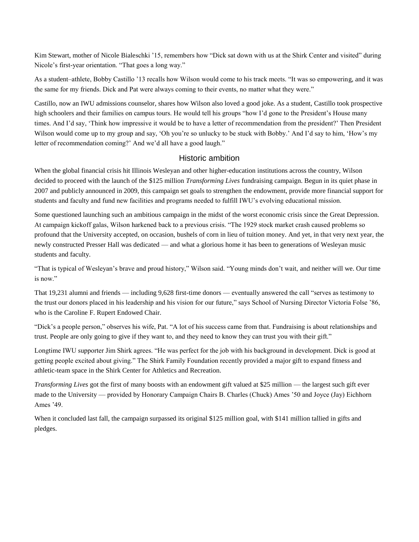Kim Stewart, mother of Nicole Bialeschki '15, remembers how "Dick sat down with us at the Shirk Center and visited" during Nicole's first-year orientation. "That goes a long way."

As a student–athlete, Bobby Castillo '13 recalls how Wilson would come to his track meets. "It was so empowering, and it was the same for my friends. Dick and Pat were always coming to their events, no matter what they were."

Castillo, now an IWU admissions counselor, shares how Wilson also loved a good joke. As a student, Castillo took prospective high schoolers and their families on campus tours. He would tell his groups "how I'd gone to the President's House many times. And I'd say, 'Think how impressive it would be to have a letter of recommendation from the president?' Then President Wilson would come up to my group and say, 'Oh you're so unlucky to be stuck with Bobby.' And I'd say to him, 'How's my letter of recommendation coming?' And we'd all have a good laugh."

### Historic ambition

When the global financial crisis hit Illinois Wesleyan and other higher-education institutions across the country, Wilson decided to proceed with the launch of the \$125 million *Transforming Lives* fundraising campaign. Begun in its quiet phase in 2007 and publicly announced in 2009, this campaign set goals to strengthen the endowment, provide more financial support for students and faculty and fund new facilities and programs needed to fulfill IWU's evolving educational mission.

Some questioned launching such an ambitious campaign in the midst of the worst economic crisis since the Great Depression. At campaign kickoff galas, Wilson harkened back to a previous crisis. "The 1929 stock market crash caused problems so profound that the University accepted, on occasion, bushels of corn in lieu of tuition money. And yet, in that very next year, the newly constructed Presser Hall was dedicated — and what a glorious home it has been to generations of Wesleyan music students and faculty.

"That is typical of Wesleyan's brave and proud history," Wilson said. "Young minds don't wait, and neither will we. Our time is now."

That 19,231 alumni and friends — including 9,628 first-time donors — eventually answered the call "serves as testimony to the trust our donors placed in his leadership and his vision for our future," says School of Nursing Director Victoria Folse '86, who is the Caroline F. Rupert Endowed Chair.

"Dick's a people person," observes his wife, Pat. "A lot of his success came from that. Fundraising is about relationships and trust. People are only going to give if they want to, and they need to know they can trust you with their gift."

Longtime IWU supporter Jim Shirk agrees. "He was perfect for the job with his background in development. Dick is good at getting people excited about giving." The Shirk Family Foundation recently provided a major gift to expand fitness and athletic-team space in the Shirk Center for Athletics and Recreation.

*Transforming Lives* got the first of many boosts with an endowment gift valued at \$25 million — the largest such gift ever made to the University — provided by Honorary Campaign Chairs B. Charles (Chuck) Ames '50 and Joyce (Jay) Eichhorn Ames '49.

When it concluded last fall, the campaign surpassed its original \$125 million goal, with \$141 million tallied in gifts and pledges.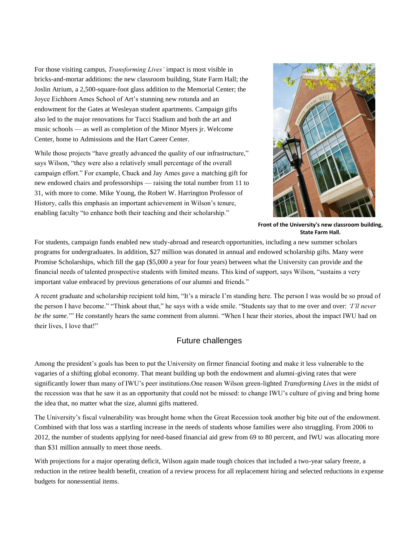For those visiting campus, *Transforming Lives'* impact is most visible in bricks-and-mortar additions: the new classroom building, State Farm Hall; the Joslin Atrium, a 2,500-square-foot glass addition to the Memorial Center; the Joyce Eichhorn Ames School of Art's stunning new rotunda and an endowment for the Gates at Wesleyan student apartments. Campaign gifts also led to the major renovations for Tucci Stadium and both the art and music schools — as well as completion of the Minor Myers jr. Welcome Center, home to Admissions and the Hart Career Center.

While those projects "have greatly advanced the quality of our infrastructure," says Wilson, "they were also a relatively small percentage of the overall campaign effort." For example, Chuck and Jay Ames gave a matching gift for new endowed chairs and professorships — raising the total number from 11 to 31, with more to come. Mike Young, the Robert W. Harrington Professor of History, calls this emphasis an important achievement in Wilson's tenure, enabling faculty "to enhance both their teaching and their scholarship."



**Front of the University's new classroom building, State Farm Hall.**

For students, campaign funds enabled new study-abroad and research opportunities, including a new summer scholars programs for undergraduates. In addition, \$27 million was donated in annual and endowed scholarship gifts. Many were Promise Scholarships, which fill the gap (\$5,000 a year for four years) between what the University can provide and the financial needs of talented prospective students with limited means. This kind of support, says Wilson, "sustains a very important value embraced by previous generations of our alumni and friends."

A recent graduate and scholarship recipient told him, "It's a miracle I'm standing here. The person I was would be so proud of the person I have become." "Think about that," he says with a wide smile. "Students say that to me over and over: *'I'll never be the same.*'" He constantly hears the same comment from alumni. "When I hear their stories, about the impact IWU had on their lives, I love that!"

## Future challenges

Among the president's goals has been to put the University on firmer financial footing and make it less vulnerable to the vagaries of a shifting global economy. That meant building up both the endowment and alumni-giving rates that were significantly lower than many of IWU's peer institutions.One reason Wilson green-lighted *Transforming Lives* in the midst of the recession was that he saw it as an opportunity that could not be missed: to change IWU's culture of giving and bring home the idea that, no matter what the size, alumni gifts mattered.

The University's fiscal vulnerability was brought home when the Great Recession took another big bite out of the endowment. Combined with that loss was a startling increase in the needs of students whose families were also struggling. From 2006 to 2012, the number of students applying for need-based financial aid grew from 69 to 80 percent, and IWU was allocating more than \$31 million annually to meet those needs.

With projections for a major operating deficit, Wilson again made tough choices that included a two-year salary freeze, a reduction in the retiree health benefit, creation of a review process for all replacement hiring and selected reductions in expense budgets for nonessential items.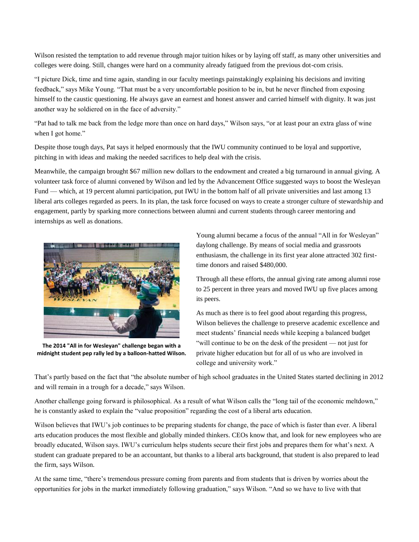Wilson resisted the temptation to add revenue through major tuition hikes or by laying off staff, as many other universities and colleges were doing. Still, changes were hard on a community already fatigued from the previous dot-com crisis.

"I picture Dick, time and time again, standing in our faculty meetings painstakingly explaining his decisions and inviting feedback," says Mike Young. "That must be a very uncomfortable position to be in, but he never flinched from exposing himself to the caustic questioning. He always gave an earnest and honest answer and carried himself with dignity. It was just another way he soldiered on in the face of adversity."

"Pat had to talk me back from the ledge more than once on hard days," Wilson says, "or at least pour an extra glass of wine when I got home."

Despite those tough days, Pat says it helped enormously that the IWU community continued to be loyal and supportive, pitching in with ideas and making the needed sacrifices to help deal with the crisis.

Meanwhile, the campaign brought \$67 million new dollars to the endowment and created a big turnaround in annual giving. A volunteer task force of alumni convened by Wilson and led by the Advancement Office suggested ways to boost the Wesleyan Fund — which, at 19 percent alumni participation, put IWU in the bottom half of all private universities and last among 13 liberal arts colleges regarded as peers. In its plan, the task force focused on ways to create a stronger culture of stewardship and engagement, partly by sparking more connections between alumni and current students through career mentoring and internships as well as donations.



**The 2014 "All in for Wesleyan" challenge began with a midnight student pep rally led by a balloon-hatted Wilson.**

Young alumni became a focus of the annual "All in for Wesleyan" daylong challenge. By means of social media and grassroots enthusiasm, the challenge in its first year alone attracted 302 firsttime donors and raised \$480,000.

Through all these efforts, the annual giving rate among alumni rose to 25 percent in three years and moved IWU up five places among its peers.

As much as there is to feel good about regarding this progress, Wilson believes the challenge to preserve academic excellence and meet students' financial needs while keeping a balanced budget "will continue to be on the desk of the president — not just for private higher education but for all of us who are involved in college and university work."

That's partly based on the fact that "the absolute number of high school graduates in the United States started declining in 2012 and will remain in a trough for a decade," says Wilson.

Another challenge going forward is philosophical. As a result of what Wilson calls the "long tail of the economic meltdown," he is constantly asked to explain the "value proposition" regarding the cost of a liberal arts education.

Wilson believes that IWU's job continues to be preparing students for change, the pace of which is faster than ever. A liberal arts education produces the most flexible and globally minded thinkers. CEOs know that, and look for new employees who are broadly educated, Wilson says. IWU's curriculum helps students secure their first jobs and prepares them for what's next. A student can graduate prepared to be an accountant, but thanks to a liberal arts background, that student is also prepared to lead the firm, says Wilson.

At the same time, "there's tremendous pressure coming from parents and from students that is driven by worries about the opportunities for jobs in the market immediately following graduation," says Wilson. "And so we have to live with that